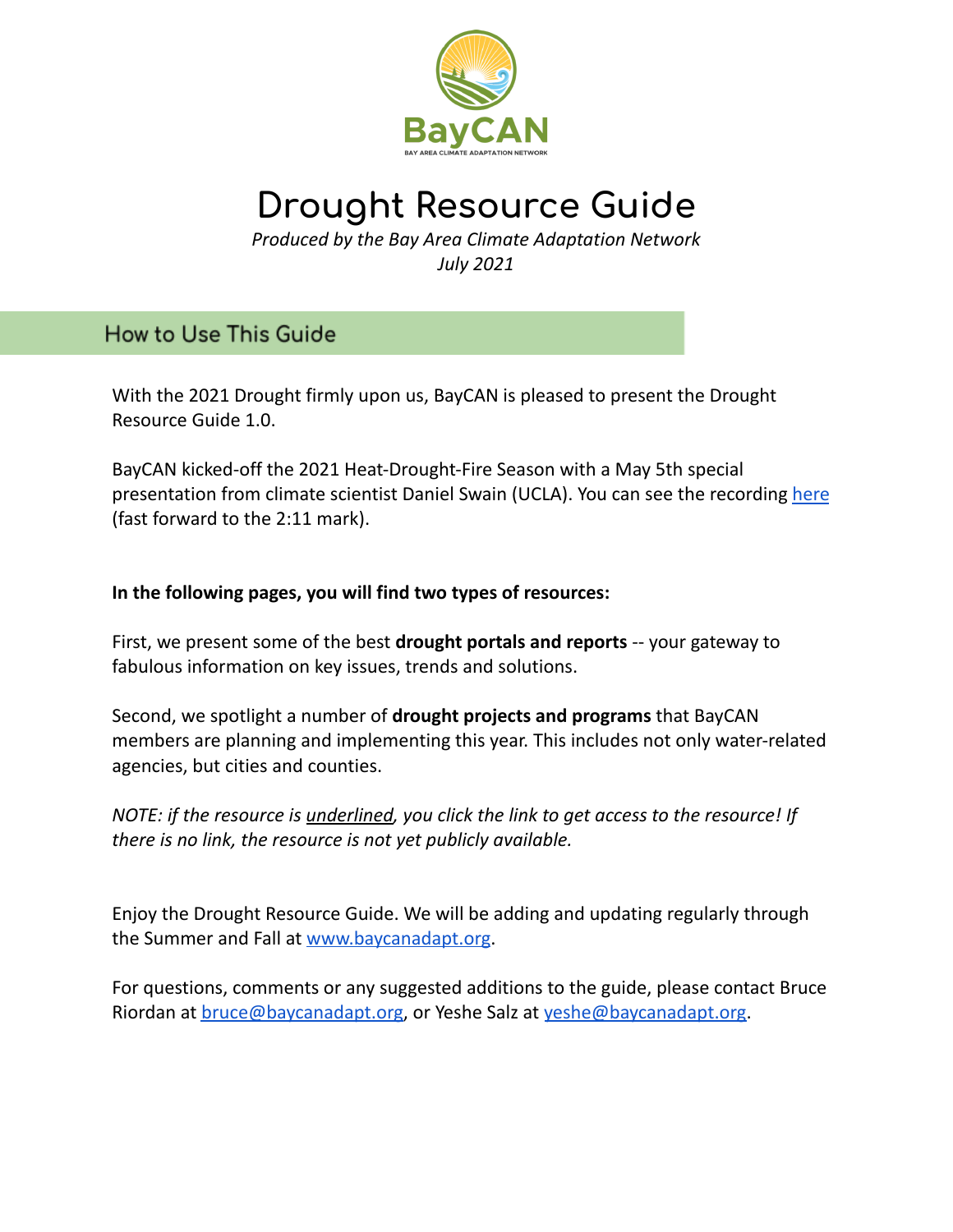

# **Drought Resource Guide**

*Produced by the Bay Area Climate Adaptation Network July 2021*

**How to Use This Guide** 

With the 2021 Drought firmly upon us, BayCAN is pleased to present the Drought Resource Guide 1.0.

BayCAN kicked-off the 2021 Heat-Drought-Fire Season with a May 5th special presentation from climate scientist Daniel Swain (UCLA). You can see the recording [here](https://www.youtube.com/watch?v=C1ZW4y-6NV4) (fast forward to the 2:11 mark).

### **In the following pages, you will find two types of resources:**

First, we present some of the best **drought portals and reports** -- your gateway to fabulous information on key issues, trends and solutions.

Second, we spotlight a number of **drought projects and programs** that BayCAN members are planning and implementing this year. This includes not only water-related agencies, but cities and counties.

*NOTE: if the resource is underlined, you click the link to get access to the resource! If there is no link, the resource is not yet publicly available.*

Enjoy the Drought Resource Guide. We will be adding and updating regularly through the Summer and Fall at [www.baycanadapt.org](http://www.baycanadapt.org).

For questions, comments or any suggested additions to the guide, please contact Bruce Riordan at [bruce@baycanadapt.org](mailto:bruce@baycanadapt.org), or Yeshe Salz at [yeshe@baycanadapt.org.](mailto:yeshe@baycanadapt.org)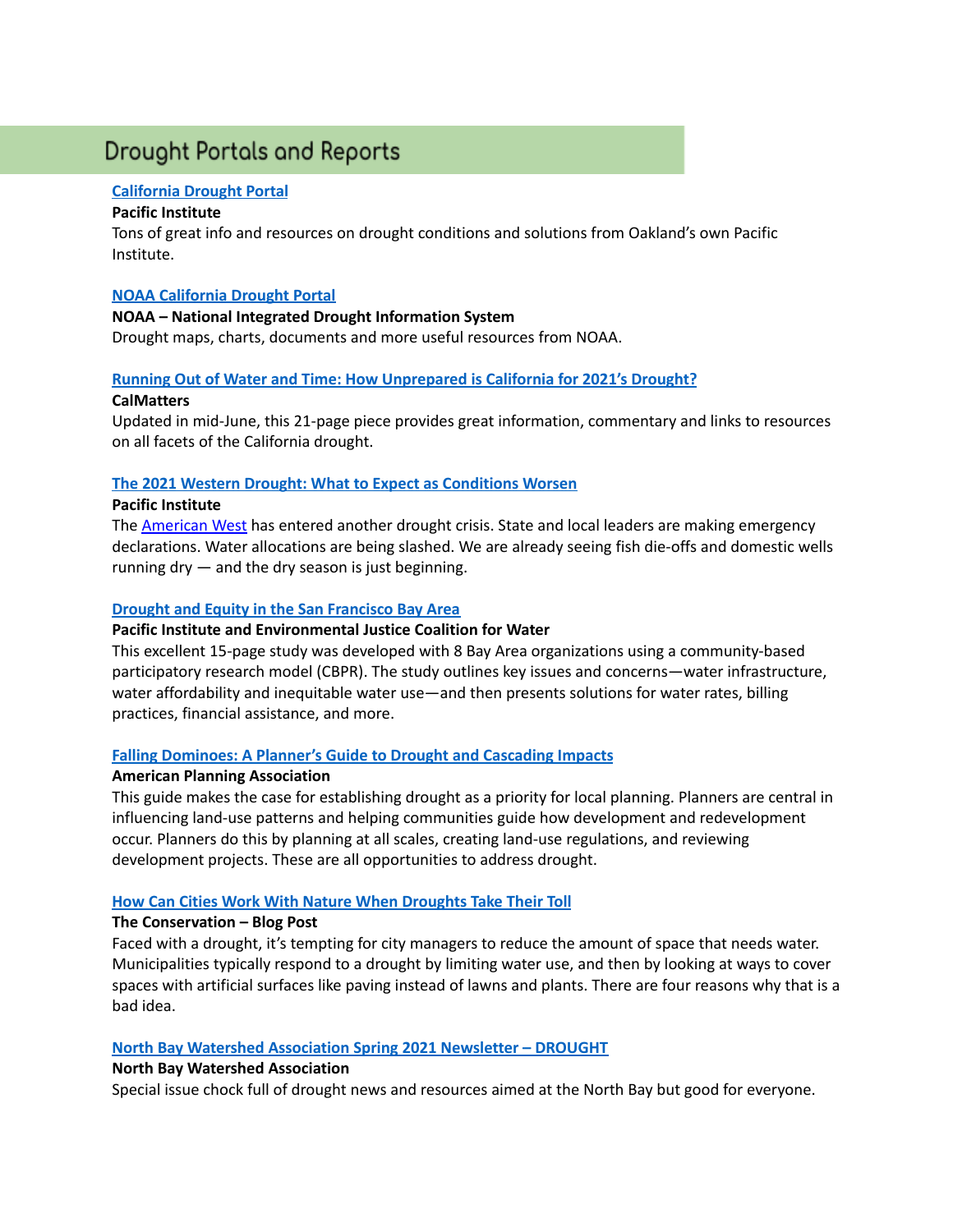## **Drought Portals and Reports**

#### **[California](https://www.californiadrought.org/solutions/) Drought Portal**

#### **Pacific Institute**

Tons of great info and resources on drought conditions and solutions from Oakland's own Pacific Institute.

#### **NOAA [California](https://www.drought.gov/states/california) Drought Portal**

#### **NOAA – National Integrated Drought Information System**

Drought maps, charts, documents and more useful resources from NOAA.

#### **Running Out of Water and Time: How [Unprepared](https://calmatters.org/environment/2021/05/unprepared-california-drought-2021-lessons-learned/) is California for 2021's Drought?**

#### **CalMatters**

Updated in mid-June, this 21-page piece provides great information, commentary and links to resources on all facets of the California drought.

#### **The 2021 Western Drought: What to Expect as [Conditions](https://pacinst.org/the-2021-western-drought-what-to-expect-as-conditions-worsen/) Worsen**

#### **Pacific Institute**

The [American](https://droughtmonitor.unl.edu/CurrentMap/StateDroughtMonitor.aspx?West) West has entered another drought crisis. State and local leaders are making emergency declarations. Water allocations are being slashed. We are already seeing fish die-offs and domestic wells running dry — and the dry season is just beginning.

#### **Drought and Equity in the San [Francisco](https://pacinst.org/wp-content/uploads/2016/06/drought_and_equity_in_the_san_francisco_bay_area-5.pdf) Bay Area**

#### **Pacific Institute and Environmental Justice Coalition for Water**

This excellent 15-page study was developed with 8 Bay Area organizations using a community-based participatory research model (CBPR). The study outlines key issues and concerns—water infrastructure, water affordability and inequitable water use—and then presents solutions for water rates, billing practices, financial assistance, and more.

#### **Falling [Dominoes:](https://www.planning.org/publications/document/9188906/) A Planner's Guide to Drought and Cascading Impacts**

#### **American Planning Association**

This guide makes the case for establishing drought as a priority for local planning. Planners are central in influencing land-use patterns and helping communities guide how development and redevelopment occur. Planners do this by planning at all scales, creating land-use regulations, and reviewing development projects. These are all opportunities to address drought.

#### **How Can Cities Work With Nature When [Droughts](https://theconversation.com/how-cities-can-work-with-nature-when-droughts-take-their-toll-100396) Take Their Toll**

#### **The Conservation – Blog Post**

Faced with a drought, it's tempting for city managers to reduce the amount of space that needs water. Municipalities typically respond to a drought by limiting water use, and then by looking at ways to cover spaces with artificial surfaces like paving instead of lawns and plants. There are four reasons why that is a bad idea.

#### **North Bay Watershed [Association](https://us14.campaign-archive.com/?u=816f8cca47f3406504e335b43&id=9c9227f082) Spring 2021 Newsletter – DROUGHT**

#### **North Bay Watershed Association**

Special issue chock full of drought news and resources aimed at the North Bay but good for everyone.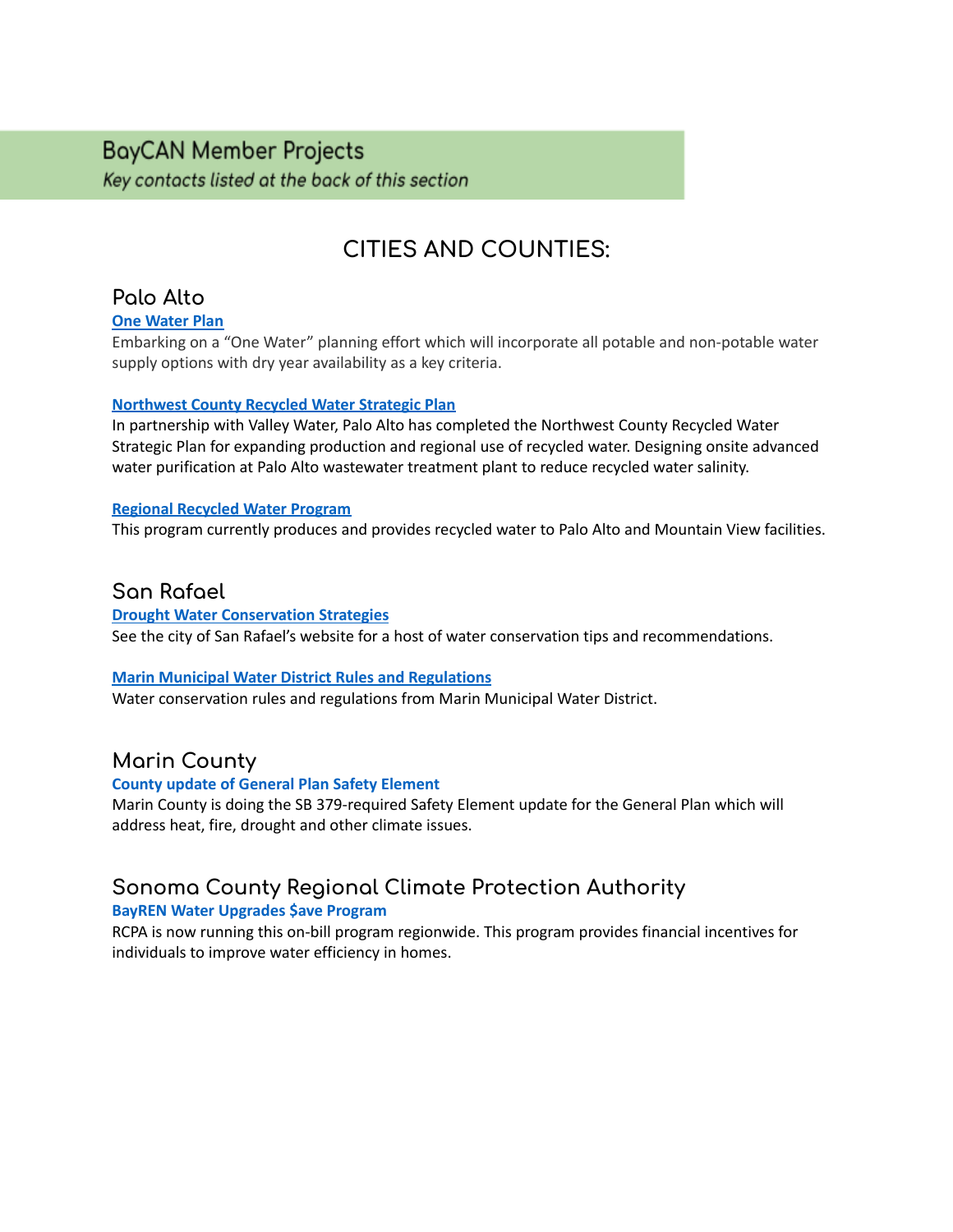## **BayCAN Member Projects**

Key contacts listed at the back of this section

## **CITIES AND COUNTIES:**

## **Palo Alto**

#### **One Water Plan**

Embarking on a "One Water" planning effort which will incorporate all potable and non-potable water supply options with dry year availability as a key criteria.

#### **[Northwest](https://www.cityofpaloalto.org/files/assets/public/utilities/water-quality/rwqcp/rw-strategic-plan-rpt_vol1_body.pdf) County Recycled Water Strategic Plan**

In partnership with Valley Water, Palo Alto has completed the Northwest County Recycled Water Strategic Plan for expanding production and regional use of recycled water. Designing onsite advanced water purification at Palo Alto wastewater treatment plant to reduce recycled water salinity.

#### **Regional Recycled Water Program**

This program currently produces and provides recycled water to Palo Alto and Mountain View facilities.

### **San Rafael**

#### **Drought Water [Conservation](https://www.cityofsanrafael.org/water-conservation/) Strategies**

See the city of San Rafael's website for a host of water conservation tips and recommendations.

#### **Marin Municipal Water District Rules and [Regulations](https://www.marinwater.org/waterrules)**

Water conservation rules and regulations from Marin Municipal Water District.

### **Marin County**

#### **County update of General Plan Safety Element**

Marin County is doing the SB 379-required Safety Element update for the General Plan which will address heat, fire, drought and other climate issues.

## **Sonoma County Regional Climate Protection Authority**

#### **BayREN Water [Upgrades](https://rcpa.ca.gov/projects/water-upgrades-save/) \$ave Program**

RCPA is now running this on-bill program regionwide. This program provides financial incentives for individuals to improve water efficiency in homes.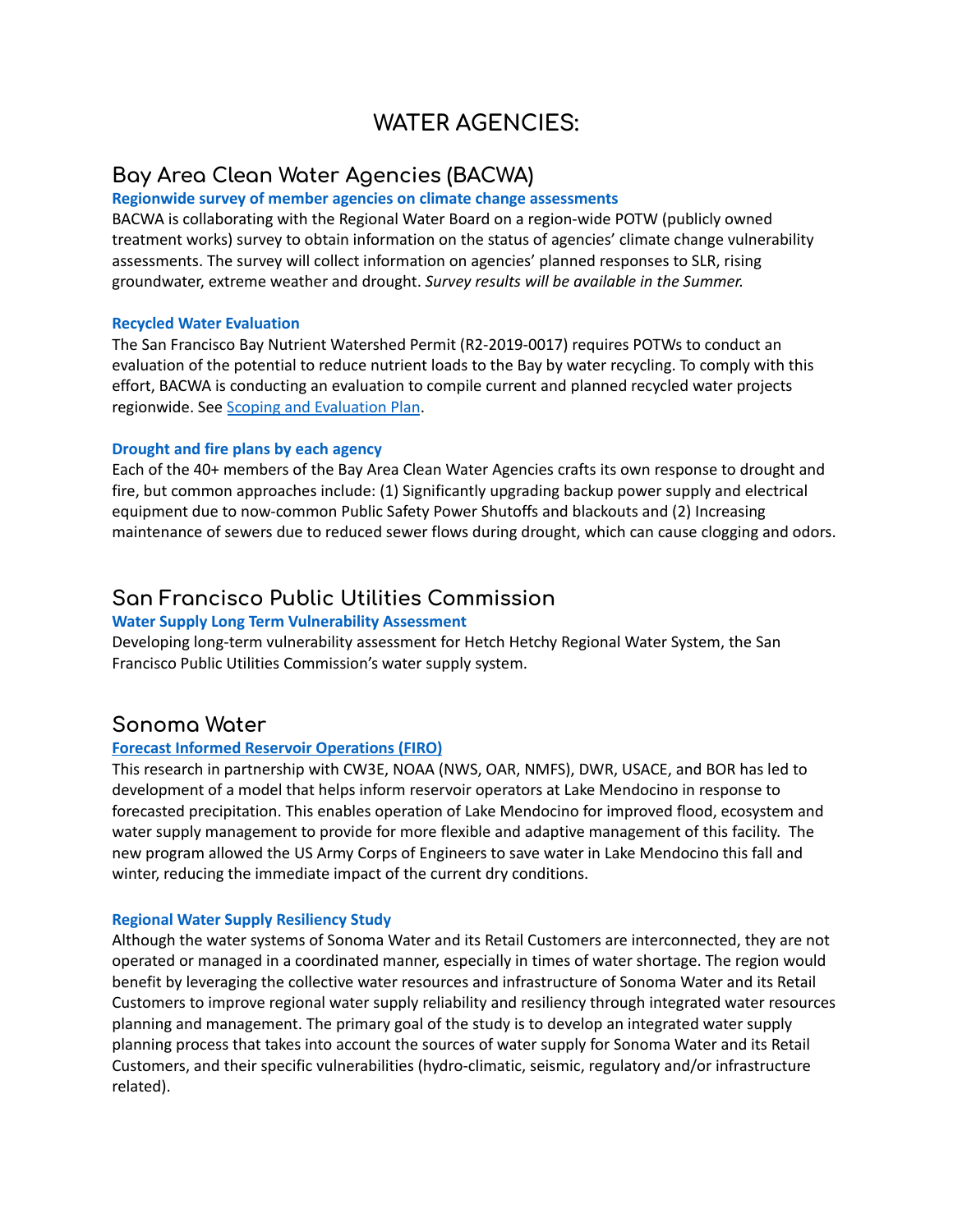## **WATER AGENCIES:**

## **Bay Area Clean Water Agencies (BACWA)**

#### **Regionwide survey of member agencies on climate change assessments**

BACWA is collaborating with the Regional Water Board on a region-wide POTW (publicly owned treatment works) survey to obtain information on the status of agencies' climate change vulnerability assessments. The survey will collect information on agencies' planned responses to SLR, rising groundwater, extreme weather and drought. *Survey results will be available in the Summer.*

#### **Recycled Water Evaluation**

The San Francisco Bay Nutrient Watershed Permit (R2-2019-0017) requires POTWs to conduct an evaluation of the potential to reduce nutrient loads to the Bay by water recycling. To comply with this effort, BACWA is conducting an evaluation to compile current and planned recycled water projects regionwide. See Scoping and [Evaluation](https://bacwa.org/wp-content/uploads/2019/12/BACWA_RW_ScopingEvalPlan_20191126.pdf) Plan.

#### **Drought and fire plans by each agency**

Each of the 40+ members of the Bay Area Clean Water Agencies crafts its own response to drought and fire, but common approaches include: (1) Significantly upgrading backup power supply and electrical equipment due to now-common Public Safety Power Shutoffs and blackouts and (2) Increasing maintenance of sewers due to reduced sewer flows during drought, which can cause clogging and odors.

### **San Francisco Public Utilities Commission**

#### **Water Supply Long Term Vulnerability Assessment**

Developing long-term vulnerability assessment for Hetch Hetchy Regional Water System, the San Francisco Public Utilities Commission's water supply system.

#### **Sonoma Water**

#### **Forecast Informed Reservoir [Operations](https://www.grac.org/media/files/files/d47db036/gra-firo-jasperse.pdf) (FIRO)**

This research in partnership with CW3E, NOAA (NWS, OAR, NMFS), DWR, USACE, and BOR has led to development of a model that helps inform reservoir operators at Lake Mendocino in response to forecasted precipitation. This enables operation of Lake Mendocino for improved flood, ecosystem and water supply management to provide for more flexible and adaptive management of this facility. The new program allowed the US Army Corps of Engineers to save water in Lake Mendocino this fall and winter, reducing the immediate impact of the current dry conditions.

#### **Regional Water Supply Resiliency Study**

Although the water systems of Sonoma Water and its Retail Customers are interconnected, they are not operated or managed in a coordinated manner, especially in times of water shortage. The region would benefit by leveraging the collective water resources and infrastructure of Sonoma Water and its Retail Customers to improve regional water supply reliability and resiliency through integrated water resources planning and management. The primary goal of the study is to develop an integrated water supply planning process that takes into account the sources of water supply for Sonoma Water and its Retail Customers, and their specific vulnerabilities (hydro-climatic, seismic, regulatory and/or infrastructure related).